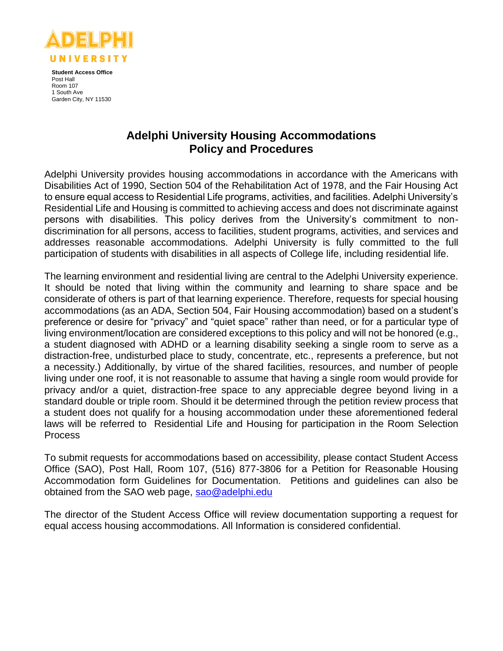

**Student Access Office** Post Hall Room 107 1 South Ave Garden City, NY 11530

# **Adelphi University Housing Accommodations Policy and Procedures**

Adelphi University provides housing accommodations in accordance with the Americans with Disabilities Act of 1990, Section 504 of the Rehabilitation Act of 1978, and the Fair Housing Act to ensure equal access to Residential Life programs, activities, and facilities. Adelphi University's Residential Life and Housing is committed to achieving access and does not discriminate against persons with disabilities. This policy derives from the University's commitment to nondiscrimination for all persons, access to facilities, student programs, activities, and services and addresses reasonable accommodations. Adelphi University is fully committed to the full participation of students with disabilities in all aspects of College life, including residential life.

The learning environment and residential living are central to the Adelphi University experience. It should be noted that living within the community and learning to share space and be considerate of others is part of that learning experience. Therefore, requests for special housing accommodations (as an ADA, Section 504, Fair Housing accommodation) based on a student's preference or desire for "privacy" and "quiet space" rather than need, or for a particular type of living environment/location are considered exceptions to this policy and will not be honored (e.g., a student diagnosed with ADHD or a learning disability seeking a single room to serve as a distraction-free, undisturbed place to study, concentrate, etc., represents a preference, but not a necessity.) Additionally, by virtue of the shared facilities, resources, and number of people living under one roof, it is not reasonable to assume that having a single room would provide for privacy and/or a quiet, distraction-free space to any appreciable degree beyond living in a standard double or triple room. Should it be determined through the petition review process that a student does not qualify for a housing accommodation under these aforementioned federal laws will be referred to Residential Life and Housing for participation in the Room Selection Process

To submit requests for accommodations based on accessibility, please contact Student Access Office (SAO), Post Hall, Room 107, (516) 877-3806 for a Petition for Reasonable Housing Accommodation form Guidelines for Documentation. Petitions and guidelines can also be obtained from the SAO web page, [sao@adelphi.edu](mailto:sao@adelphi.edu)

The director of the Student Access Office will review documentation supporting a request for equal access housing accommodations. All Information is considered confidential.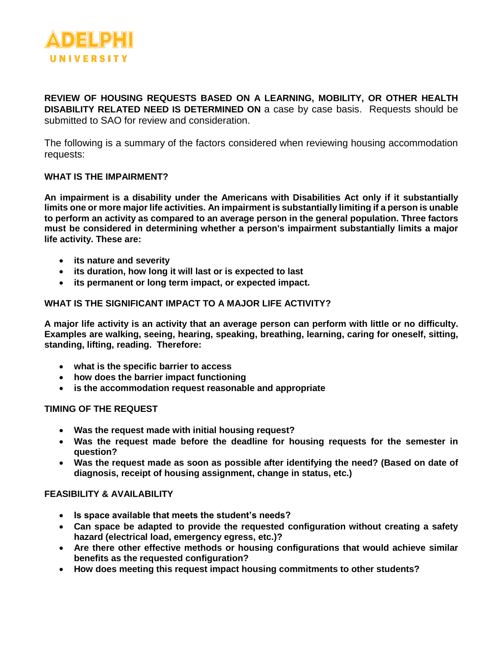

**REVIEW OF HOUSING REQUESTS BASED ON A LEARNING, MOBILITY, OR OTHER HEALTH DISABILITY RELATED NEED IS DETERMINED ON** a case by case basis. Requests should be submitted to SAO for review and consideration.

The following is a summary of the factors considered when reviewing housing accommodation requests:

#### **WHAT IS THE IMPAIRMENT?**

**An impairment is a disability under the Americans with Disabilities Act only if it substantially limits one or more major life activities. An impairment is substantially limiting if a person is unable to perform an activity as compared to an average person in the general population. Three factors must be considered in determining whether a person's impairment substantially limits a major life activity. These are:**

- **its nature and severity**
- **its duration, how long it will last or is expected to last**
- **its permanent or long term impact, or expected impact.**

#### **WHAT IS THE SIGNIFICANT IMPACT TO A MAJOR LIFE ACTIVITY?**

**A major life activity is an activity that an average person can perform with little or no difficulty. Examples are walking, seeing, hearing, speaking, breathing, learning, caring for oneself, sitting, standing, lifting, reading. Therefore:**

- **what is the specific barrier to access**
- **how does the barrier impact functioning**
- **is the accommodation request reasonable and appropriate**

**TIMING OF THE REQUEST** 

- **Was the request made with initial housing request?**
- **Was the request made before the deadline for housing requests for the semester in question?**
- **Was the request made as soon as possible after identifying the need? (Based on date of diagnosis, receipt of housing assignment, change in status, etc.)**

#### **FEASIBILITY & AVAILABILITY**

- **Is space available that meets the student's needs?**
- **Can space be adapted to provide the requested configuration without creating a safety hazard (electrical load, emergency egress, etc.)?**
- **Are there other effective methods or housing configurations that would achieve similar benefits as the requested configuration?**
- **How does meeting this request impact housing commitments to other students?**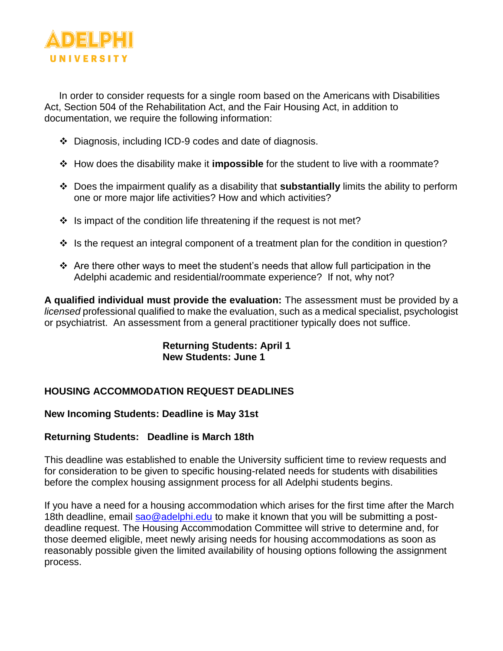

In order to consider requests for a single room based on the Americans with Disabilities Act, Section 504 of the Rehabilitation Act, and the Fair Housing Act, in addition to documentation, we require the following information:

- Diagnosis, including ICD-9 codes and date of diagnosis.
- How does the disability make it **impossible** for the student to live with a roommate?
- Does the impairment qualify as a disability that **substantially** limits the ability to perform one or more major life activities? How and which activities?
- $\cdot$  Is impact of the condition life threatening if the request is not met?
- $\cdot$  Is the request an integral component of a treatment plan for the condition in question?
- $\cdot$  Are there other ways to meet the student's needs that allow full participation in the Adelphi academic and residential/roommate experience? If not, why not?

**A qualified individual must provide the evaluation:** The assessment must be provided by a *licensed* professional qualified to make the evaluation, such as a medical specialist, psychologist or psychiatrist. An assessment from a general practitioner typically does not suffice.

## **Returning Students: April 1 New Students: June 1**

# **HOUSING ACCOMMODATION REQUEST DEADLINES**

## **New Incoming Students: Deadline is May 31st**

### **Returning Students: Deadline is March 18th**

This deadline was established to enable the University sufficient time to review requests and for consideration to be given to specific housing-related needs for students with disabilities before the complex housing assignment process for all Adelphi students begins.

If you have a need for a housing accommodation which arises for the first time after the March 18th deadline, email [sao@adelphi.edu](mailto:disabilityservices@dickinson.edu) to make it known that you will be submitting a postdeadline request. The Housing Accommodation Committee will strive to determine and, for those deemed eligible, meet newly arising needs for housing accommodations as soon as reasonably possible given the limited availability of housing options following the assignment process.